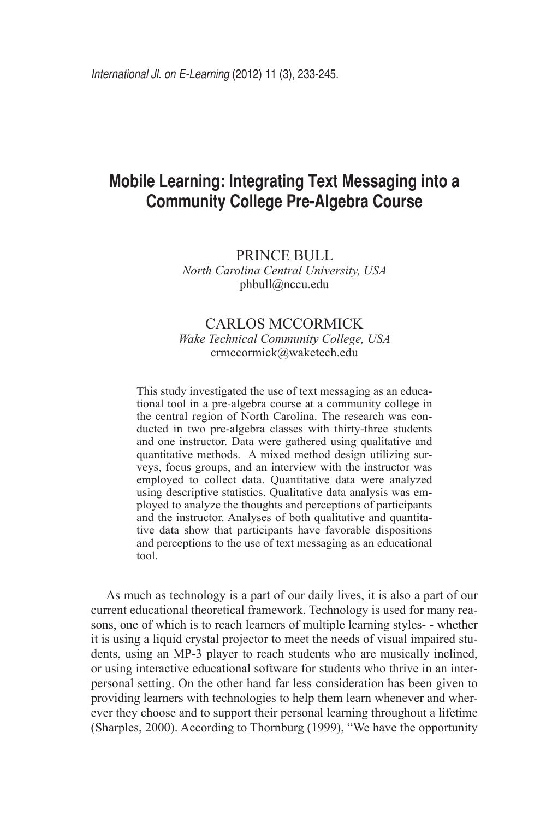# **Mobile Learning: Integrating Text Messaging into a Community College Pre-Algebra Course**

Prince Bull *North Carolina Central University, USA* phbull@nccu.edu

## Carlos McCormick *Wake Technical Community College, USA* crmccormick@waketech.edu

This study investigated the use of text messaging as an educational tool in a pre-algebra course at a community college in the central region of North Carolina. The research was conducted in two pre-algebra classes with thirty-three students and one instructor. Data were gathered using qualitative and quantitative methods. A mixed method design utilizing surveys, focus groups, and an interview with the instructor was employed to collect data. Quantitative data were analyzed using descriptive statistics. Qualitative data analysis was employed to analyze the thoughts and perceptions of participants and the instructor. Analyses of both qualitative and quantitative data show that participants have favorable dispositions and perceptions to the use of text messaging as an educational tool.

As much as technology is a part of our daily lives, it is also a part of our current educational theoretical framework. Technology is used for many reasons, one of which is to reach learners of multiple learning styles- - whether it is using a liquid crystal projector to meet the needs of visual impaired students, using an MP-3 player to reach students who are musically inclined, or using interactive educational software for students who thrive in an interpersonal setting. On the other hand far less consideration has been given to providing learners with technologies to help them learn whenever and wherever they choose and to support their personal learning throughout a lifetime (Sharples, 2000). According to Thornburg (1999), "We have the opportunity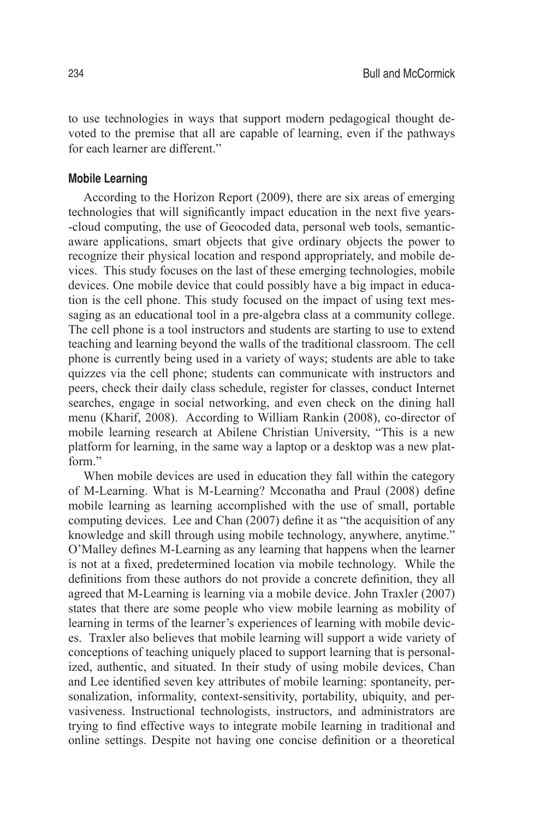to use technologies in ways that support modern pedagogical thought devoted to the premise that all are capable of learning, even if the pathways for each learner are different."

## **Mobile Learning**

According to the Horizon Report (2009), there are six areas of emerging technologies that will significantly impact education in the next five years- -cloud computing, the use of Geocoded data, personal web tools, semanticaware applications, smart objects that give ordinary objects the power to recognize their physical location and respond appropriately, and mobile devices. This study focuses on the last of these emerging technologies, mobile devices. One mobile device that could possibly have a big impact in education is the cell phone. This study focused on the impact of using text messaging as an educational tool in a pre-algebra class at a community college. The cell phone is a tool instructors and students are starting to use to extend teaching and learning beyond the walls of the traditional classroom. The cell phone is currently being used in a variety of ways; students are able to take quizzes via the cell phone; students can communicate with instructors and peers, check their daily class schedule, register for classes, conduct Internet searches, engage in social networking, and even check on the dining hall menu (Kharif, 2008). According to William Rankin (2008), co-director of mobile learning research at Abilene Christian University, "This is a new platform for learning, in the same way a laptop or a desktop was a new platform."

When mobile devices are used in education they fall within the category of M-Learning. What is M-Learning? Mcconatha and Praul (2008) define mobile learning as learning accomplished with the use of small, portable computing devices. Lee and Chan (2007) define it as "the acquisition of any knowledge and skill through using mobile technology, anywhere, anytime." O'Malley defines M-Learning as any learning that happens when the learner is not at a fixed, predetermined location via mobile technology. While the definitions from these authors do not provide a concrete definition, they all agreed that M-Learning is learning via a mobile device. John Traxler (2007) states that there are some people who view mobile learning as mobility of learning in terms of the learner's experiences of learning with mobile devices. Traxler also believes that mobile learning will support a wide variety of conceptions of teaching uniquely placed to support learning that is personalized, authentic, and situated. In their study of using mobile devices, Chan and Lee identified seven key attributes of mobile learning: spontaneity, personalization, informality, context-sensitivity, portability, ubiquity, and pervasiveness. Instructional technologists, instructors, and administrators are trying to find effective ways to integrate mobile learning in traditional and online settings. Despite not having one concise definition or a theoretical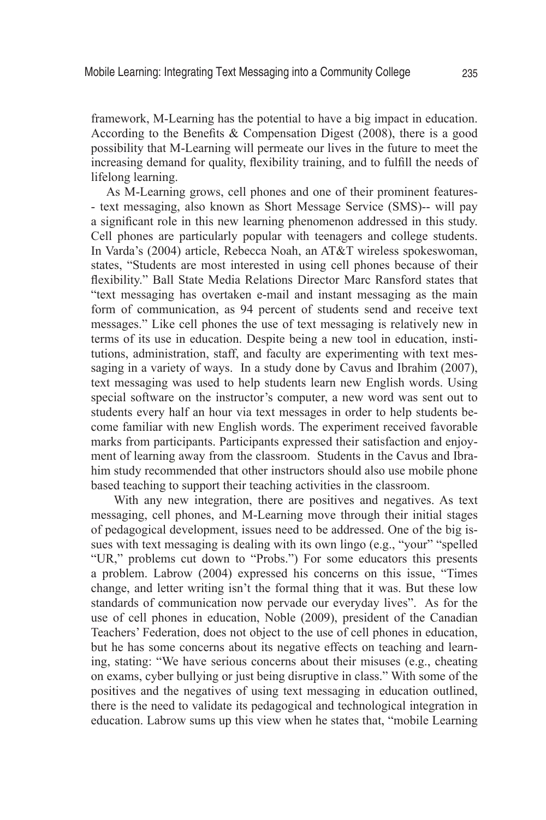framework, M-Learning has the potential to have a big impact in education. According to the Benefits & Compensation Digest (2008), there is a good possibility that M-Learning will permeate our lives in the future to meet the increasing demand for quality, flexibility training, and to fulfill the needs of lifelong learning.

As M-Learning grows, cell phones and one of their prominent features- - text messaging, also known as Short Message Service (SMS)-- will pay a significant role in this new learning phenomenon addressed in this study. Cell phones are particularly popular with teenagers and college students. In Varda's (2004) article, Rebecca Noah, an AT&T wireless spokeswoman, states, "Students are most interested in using cell phones because of their flexibility." Ball State Media Relations Director Marc Ransford states that "text messaging has overtaken e-mail and instant messaging as the main form of communication, as 94 percent of students send and receive text messages." Like cell phones the use of text messaging is relatively new in terms of its use in education. Despite being a new tool in education, institutions, administration, staff, and faculty are experimenting with text messaging in a variety of ways. In a study done by Cavus and Ibrahim (2007), text messaging was used to help students learn new English words. Using special software on the instructor's computer, a new word was sent out to students every half an hour via text messages in order to help students become familiar with new English words. The experiment received favorable marks from participants. Participants expressed their satisfaction and enjoyment of learning away from the classroom. Students in the Cavus and Ibrahim study recommended that other instructors should also use mobile phone based teaching to support their teaching activities in the classroom.

With any new integration, there are positives and negatives. As text messaging, cell phones, and M-Learning move through their initial stages of pedagogical development, issues need to be addressed. One of the big issues with text messaging is dealing with its own lingo (e.g., "your" "spelled "UR," problems cut down to "Probs.") For some educators this presents a problem. Labrow (2004) expressed his concerns on this issue, "Times change, and letter writing isn't the formal thing that it was. But these low standards of communication now pervade our everyday lives". As for the use of cell phones in education, Noble (2009), president of the Canadian Teachers' Federation, does not object to the use of cell phones in education, but he has some concerns about its negative effects on teaching and learning, stating: "We have serious concerns about their misuses (e.g., cheating on exams, cyber bullying or just being disruptive in class." With some of the positives and the negatives of using text messaging in education outlined, there is the need to validate its pedagogical and technological integration in education. Labrow sums up this view when he states that, "mobile Learning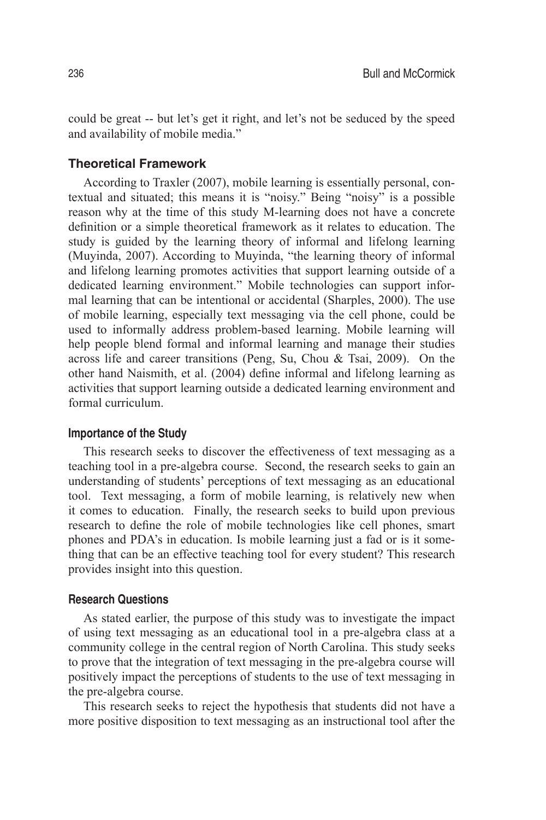could be great -- but let's get it right, and let's not be seduced by the speed and availability of mobile media."

## **Theoretical Framework**

According to Traxler (2007), mobile learning is essentially personal, contextual and situated; this means it is "noisy." Being "noisy" is a possible reason why at the time of this study M-learning does not have a concrete definition or a simple theoretical framework as it relates to education. The study is guided by the learning theory of informal and lifelong learning (Muyinda, 2007). According to Muyinda, "the learning theory of informal and lifelong learning promotes activities that support learning outside of a dedicated learning environment." Mobile technologies can support informal learning that can be intentional or accidental (Sharples, 2000). The use of mobile learning, especially text messaging via the cell phone, could be used to informally address problem-based learning. Mobile learning will help people blend formal and informal learning and manage their studies across life and career transitions (Peng, Su, Chou & Tsai, 2009). On the other hand Naismith, et al. (2004) define informal and lifelong learning as activities that support learning outside a dedicated learning environment and formal curriculum.

## **Importance of the Study**

This research seeks to discover the effectiveness of text messaging as a teaching tool in a pre-algebra course. Second, the research seeks to gain an understanding of students' perceptions of text messaging as an educational tool. Text messaging, a form of mobile learning, is relatively new when it comes to education. Finally, the research seeks to build upon previous research to define the role of mobile technologies like cell phones, smart phones and PDA's in education. Is mobile learning just a fad or is it something that can be an effective teaching tool for every student? This research provides insight into this question.

## **Research Questions**

As stated earlier, the purpose of this study was to investigate the impact of using text messaging as an educational tool in a pre-algebra class at a community college in the central region of North Carolina. This study seeks to prove that the integration of text messaging in the pre-algebra course will positively impact the perceptions of students to the use of text messaging in the pre-algebra course.

This research seeks to reject the hypothesis that students did not have a more positive disposition to text messaging as an instructional tool after the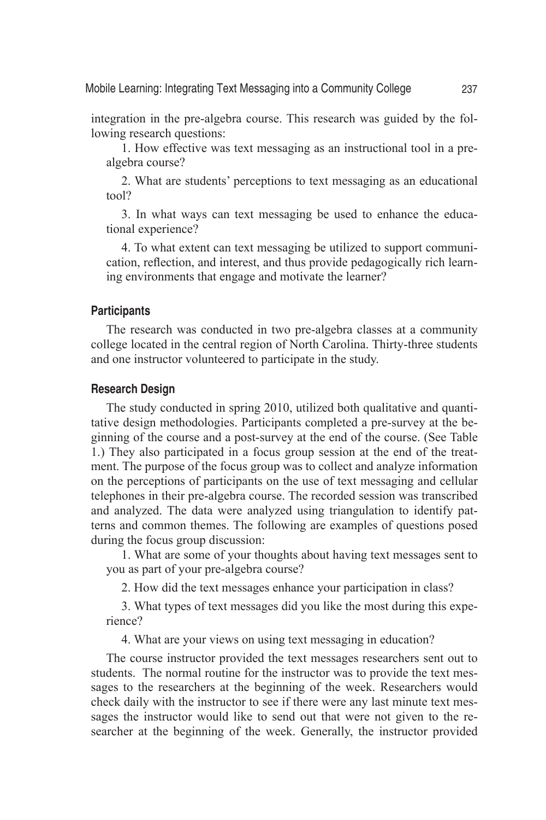integration in the pre-algebra course. This research was guided by the following research questions:

1. How effective was text messaging as an instructional tool in a prealgebra course?

2. What are students' perceptions to text messaging as an educational tool?

3. In what ways can text messaging be used to enhance the educational experience?

4. To what extent can text messaging be utilized to support communication, reflection, and interest, and thus provide pedagogically rich learning environments that engage and motivate the learner?

## **Participants**

The research was conducted in two pre-algebra classes at a community college located in the central region of North Carolina. Thirty-three students and one instructor volunteered to participate in the study.

## **Research Design**

The study conducted in spring 2010, utilized both qualitative and quantitative design methodologies. Participants completed a pre-survey at the beginning of the course and a post-survey at the end of the course. (See Table 1.) They also participated in a focus group session at the end of the treatment. The purpose of the focus group was to collect and analyze information on the perceptions of participants on the use of text messaging and cellular telephones in their pre-algebra course. The recorded session was transcribed and analyzed. The data were analyzed using triangulation to identify patterns and common themes. The following are examples of questions posed during the focus group discussion:

1. What are some of your thoughts about having text messages sent to you as part of your pre-algebra course?

2. How did the text messages enhance your participation in class?

3. What types of text messages did you like the most during this experience?

4. What are your views on using text messaging in education?

The course instructor provided the text messages researchers sent out to students. The normal routine for the instructor was to provide the text messages to the researchers at the beginning of the week. Researchers would check daily with the instructor to see if there were any last minute text messages the instructor would like to send out that were not given to the researcher at the beginning of the week. Generally, the instructor provided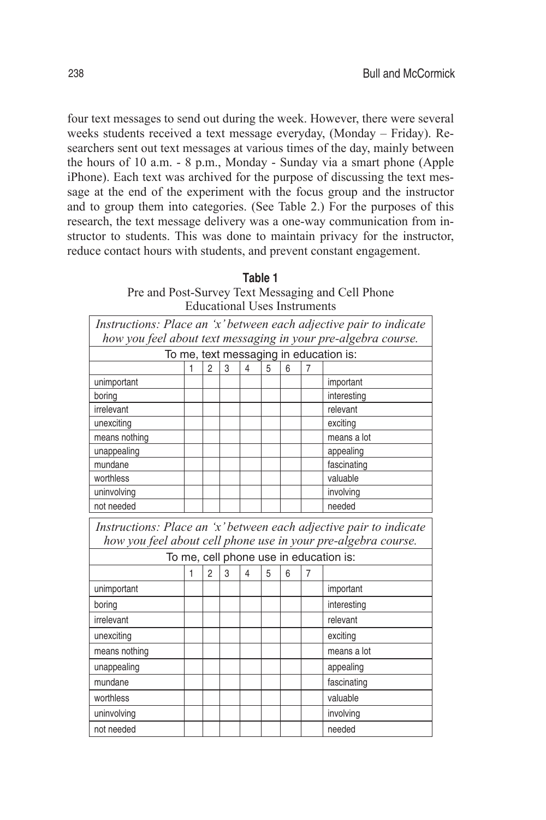four text messages to send out during the week. However, there were several weeks students received a text message everyday, (Monday – Friday). Researchers sent out text messages at various times of the day, mainly between the hours of 10 a.m. - 8 p.m., Monday - Sunday via a smart phone (Apple iPhone). Each text was archived for the purpose of discussing the text message at the end of the experiment with the focus group and the instructor and to group them into categories. (See Table 2.) For the purposes of this research, the text message delivery was a one-way communication from instructor to students. This was done to maintain privacy for the instructor, reduce contact hours with students, and prevent constant engagement.

| Table 1                                           |  |  |  |  |
|---------------------------------------------------|--|--|--|--|
| Pre and Post-Survey Text Messaging and Cell Phone |  |  |  |  |
| Educational Uses Instruments                      |  |  |  |  |

| Instructions: Place an 'x' between each adjective pair to indicate                                                                  |   |                |   |                |   |   |   |             |
|-------------------------------------------------------------------------------------------------------------------------------------|---|----------------|---|----------------|---|---|---|-------------|
| how you feel about text messaging in your pre-algebra course.                                                                       |   |                |   |                |   |   |   |             |
| To me, text messaging in education is:                                                                                              |   |                |   |                |   |   |   |             |
|                                                                                                                                     | 1 | $\mathfrak{p}$ | 3 | $\overline{4}$ | 5 | 6 | 7 |             |
| unimportant                                                                                                                         |   |                |   |                |   |   |   | important   |
| boring                                                                                                                              |   |                |   |                |   |   |   | interesting |
| irrelevant                                                                                                                          |   |                |   |                |   |   |   | relevant    |
| unexciting                                                                                                                          |   |                |   |                |   |   |   | exciting    |
| means nothing                                                                                                                       |   |                |   |                |   |   |   | means a lot |
| unappealing                                                                                                                         |   |                |   |                |   |   |   | appealing   |
| mundane                                                                                                                             |   |                |   |                |   |   |   | fascinating |
| worthless                                                                                                                           |   |                |   |                |   |   |   | valuable    |
| uninvolving                                                                                                                         |   |                |   |                |   |   |   | involving   |
| not needed                                                                                                                          |   |                |   |                |   |   |   | needed      |
| Instructions: Place an 'x' between each adjective pair to indicate<br>how you feel about cell phone use in your pre-algebra course. |   |                |   |                |   |   |   |             |
| To me, cell phone use in education is:                                                                                              |   |                |   |                |   |   |   |             |
|                                                                                                                                     | 1 | $\overline{2}$ | 3 | $\overline{4}$ | 5 | 6 | 7 |             |
| unimportant                                                                                                                         |   |                |   |                |   |   |   | important   |
| boring                                                                                                                              |   |                |   |                |   |   |   | interesting |
| irrelevant                                                                                                                          |   |                |   |                |   |   |   | relevant    |
| unexciting                                                                                                                          |   |                |   |                |   |   |   | exciting    |
| means nothing                                                                                                                       |   |                |   |                |   |   |   | means a lot |
| unappealing                                                                                                                         |   |                |   |                |   |   |   | appealing   |
| mundane                                                                                                                             |   |                |   |                |   |   |   | fascinating |
| worthless                                                                                                                           |   |                |   |                |   |   |   | valuable    |
| uninvolving                                                                                                                         |   |                |   |                |   |   |   | involving   |
| not needed                                                                                                                          |   |                |   |                |   |   |   | needed      |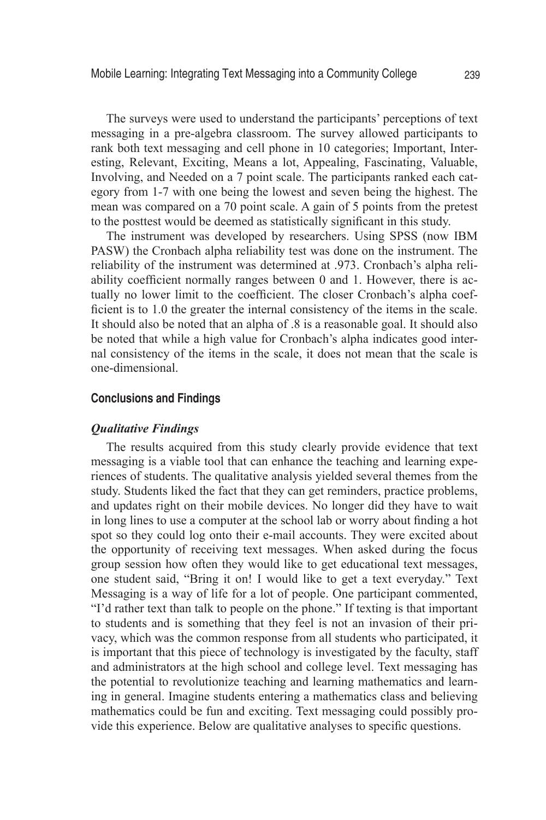The surveys were used to understand the participants' perceptions of text messaging in a pre-algebra classroom. The survey allowed participants to rank both text messaging and cell phone in 10 categories; Important, Interesting, Relevant, Exciting, Means a lot, Appealing, Fascinating, Valuable, Involving, and Needed on a 7 point scale. The participants ranked each category from 1-7 with one being the lowest and seven being the highest. The mean was compared on a 70 point scale. A gain of 5 points from the pretest to the posttest would be deemed as statistically significant in this study.

The instrument was developed by researchers. Using SPSS (now IBM PASW) the Cronbach alpha reliability test was done on the instrument. The reliability of the instrument was determined at .973. Cronbach's alpha reliability coefficient normally ranges between 0 and 1. However, there is actually no lower limit to the coefficient. The closer Cronbach's alpha coefficient is to 1.0 the greater the internal consistency of the items in the scale. It should also be noted that an alpha of .8 is a reasonable goal. It should also be noted that while a high value for Cronbach's alpha indicates good internal consistency of the items in the scale, it does not mean that the scale is one-dimensional.

## **Conclusions and Findings**

#### *Qualitative Findings*

The results acquired from this study clearly provide evidence that text messaging is a viable tool that can enhance the teaching and learning experiences of students. The qualitative analysis yielded several themes from the study. Students liked the fact that they can get reminders, practice problems, and updates right on their mobile devices. No longer did they have to wait in long lines to use a computer at the school lab or worry about finding a hot spot so they could log onto their e-mail accounts. They were excited about the opportunity of receiving text messages. When asked during the focus group session how often they would like to get educational text messages, one student said, "Bring it on! I would like to get a text everyday." Text Messaging is a way of life for a lot of people. One participant commented, "I'd rather text than talk to people on the phone." If texting is that important to students and is something that they feel is not an invasion of their privacy, which was the common response from all students who participated, it is important that this piece of technology is investigated by the faculty, staff and administrators at the high school and college level. Text messaging has the potential to revolutionize teaching and learning mathematics and learning in general. Imagine students entering a mathematics class and believing mathematics could be fun and exciting. Text messaging could possibly provide this experience. Below are qualitative analyses to specific questions.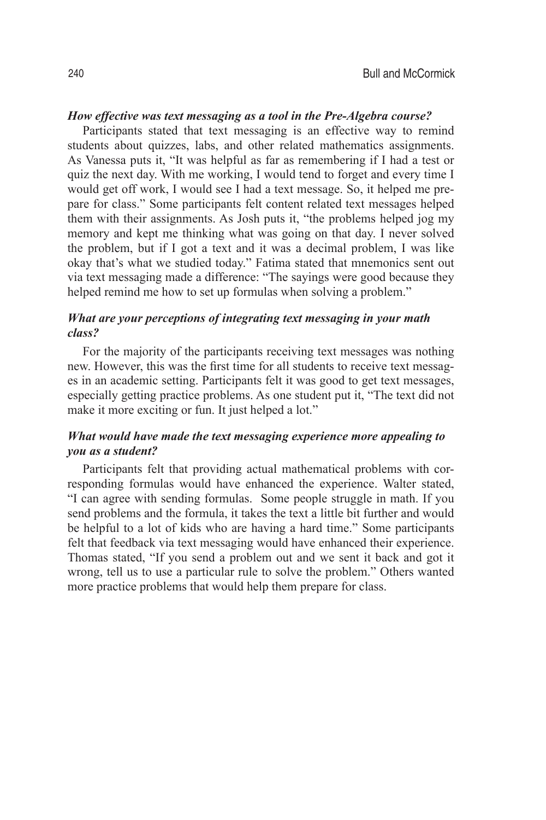## *How effective was text messaging as a tool in the Pre-Algebra course?*

Participants stated that text messaging is an effective way to remind students about quizzes, labs, and other related mathematics assignments. As Vanessa puts it, "It was helpful as far as remembering if I had a test or quiz the next day. With me working, I would tend to forget and every time I would get off work, I would see I had a text message. So, it helped me prepare for class." Some participants felt content related text messages helped them with their assignments. As Josh puts it, "the problems helped jog my memory and kept me thinking what was going on that day. I never solved the problem, but if I got a text and it was a decimal problem, I was like okay that's what we studied today." Fatima stated that mnemonics sent out via text messaging made a difference: "The sayings were good because they helped remind me how to set up formulas when solving a problem."

# *What are your perceptions of integrating text messaging in your math class?*

For the majority of the participants receiving text messages was nothing new. However, this was the first time for all students to receive text messages in an academic setting. Participants felt it was good to get text messages, especially getting practice problems. As one student put it, "The text did not make it more exciting or fun. It just helped a lot."

## *What would have made the text messaging experience more appealing to you as a student?*

Participants felt that providing actual mathematical problems with corresponding formulas would have enhanced the experience. Walter stated, "I can agree with sending formulas. Some people struggle in math. If you send problems and the formula, it takes the text a little bit further and would be helpful to a lot of kids who are having a hard time." Some participants felt that feedback via text messaging would have enhanced their experience. Thomas stated, "If you send a problem out and we sent it back and got it wrong, tell us to use a particular rule to solve the problem." Others wanted more practice problems that would help them prepare for class.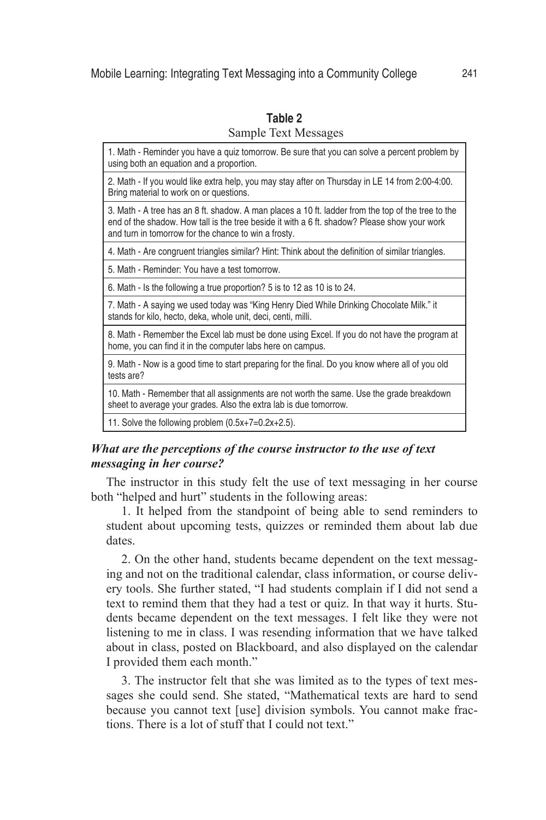| 1. Math - Reminder you have a quiz tomorrow. Be sure that you can solve a percent problem by<br>using both an equation and a proportion.                                                                                                                   |
|------------------------------------------------------------------------------------------------------------------------------------------------------------------------------------------------------------------------------------------------------------|
| 2. Math - If you would like extra help, you may stay after on Thursday in LE 14 from 2:00-4:00.<br>Bring material to work on or questions.                                                                                                                 |
| 3. Math - A tree has an 8 ft. shadow. A man places a 10 ft. ladder from the top of the tree to the<br>end of the shadow. How tall is the tree beside it with a 6 ft. shadow? Please show your work<br>and turn in tomorrow for the chance to win a frosty. |
| 4. Math - Are congruent triangles similar? Hint: Think about the definition of similar triangles.                                                                                                                                                          |
| 5. Math - Reminder: You have a test tomorrow.                                                                                                                                                                                                              |
| 6. Math - Is the following a true proportion? 5 is to 12 as 10 is to 24.                                                                                                                                                                                   |
| 7. Math - A saying we used today was "King Henry Died While Drinking Chocolate Milk." it<br>stands for kilo, hecto, deka, whole unit, deci, centi, milli.                                                                                                  |
| 8. Math - Remember the Excel lab must be done using Excel. If you do not have the program at<br>home, you can find it in the computer labs here on campus.                                                                                                 |
| 9. Math - Now is a good time to start preparing for the final. Do you know where all of you old<br>tests are?                                                                                                                                              |
| 10. Math - Remember that all assignments are not worth the same. Use the grade breakdown<br>sheet to average your grades. Also the extra lab is due tomorrow.                                                                                              |
| 11. Solve the following problem $(0.5x+7=0.2x+2.5)$ .                                                                                                                                                                                                      |
|                                                                                                                                                                                                                                                            |

## **Table 2** Sample Text Messages

# *What are the perceptions of the course instructor to the use of text messaging in her course?*

The instructor in this study felt the use of text messaging in her course both "helped and hurt" students in the following areas:

1. It helped from the standpoint of being able to send reminders to student about upcoming tests, quizzes or reminded them about lab due dates.

2. On the other hand, students became dependent on the text messaging and not on the traditional calendar, class information, or course delivery tools. She further stated, "I had students complain if I did not send a text to remind them that they had a test or quiz. In that way it hurts. Students became dependent on the text messages. I felt like they were not listening to me in class. I was resending information that we have talked about in class, posted on Blackboard, and also displayed on the calendar I provided them each month."

3. The instructor felt that she was limited as to the types of text messages she could send. She stated, "Mathematical texts are hard to send because you cannot text [use] division symbols. You cannot make fractions. There is a lot of stuff that I could not text."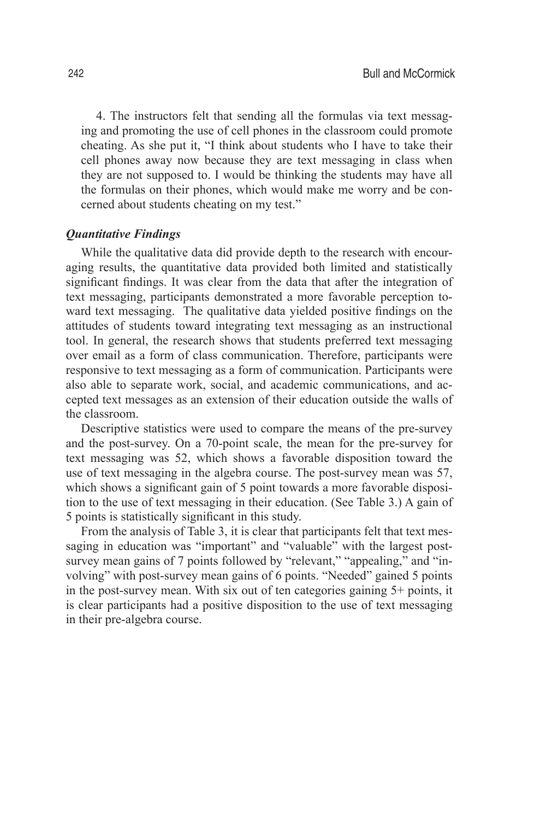4. The instructors felt that sending all the formulas via text messaging and promoting the use of cell phones in the classroom could promote cheating. As she put it, "I think about students who I have to take their cell phones away now because they are text messaging in class when they are not supposed to. I would be thinking the students may have all the formulas on their phones, which would make me worry and be concerned about students cheating on my test."

## *Quantitative Findings*

While the qualitative data did provide depth to the research with encouraging results, the quantitative data provided both limited and statistically significant findings. It was clear from the data that after the integration of text messaging, participants demonstrated a more favorable perception toward text messaging. The qualitative data yielded positive findings on the attitudes of students toward integrating text messaging as an instructional tool. In general, the research shows that students preferred text messaging over email as a form of class communication. Therefore, participants were responsive to text messaging as a form of communication. Participants were also able to separate work, social, and academic communications, and accepted text messages as an extension of their education outside the walls of the classroom.

Descriptive statistics were used to compare the means of the pre-survey and the post-survey. On a 70-point scale, the mean for the pre-survey for text messaging was 52, which shows a favorable disposition toward the use of text messaging in the algebra course. The post-survey mean was 57, which shows a significant gain of 5 point towards a more favorable disposition to the use of text messaging in their education. (See Table 3.) A gain of 5 points is statistically significant in this study.

From the analysis of Table 3, it is clear that participants felt that text messaging in education was "important" and "valuable" with the largest postsurvey mean gains of 7 points followed by "relevant," "appealing," and "involving" with post-survey mean gains of 6 points. "Needed" gained 5 points in the post-survey mean. With six out of ten categories gaining 5+ points, it is clear participants had a positive disposition to the use of text messaging in their pre-algebra course.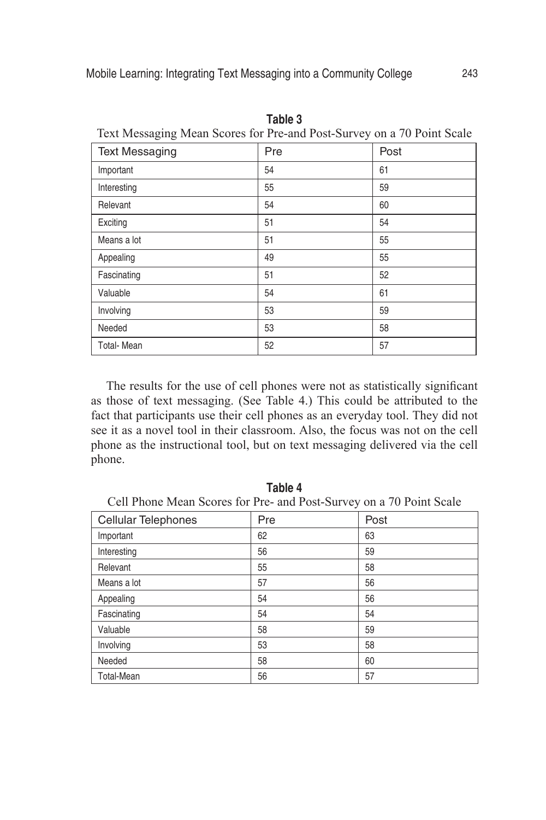| Text incode the mean becaus for I fe-and I ose-burvey on a 70 T only beare |     |      |  |  |  |
|----------------------------------------------------------------------------|-----|------|--|--|--|
| <b>Text Messaging</b>                                                      | Pre | Post |  |  |  |
| Important                                                                  | 54  | 61   |  |  |  |
| Interesting                                                                | 55  | 59   |  |  |  |
| Relevant                                                                   | 54  | 60   |  |  |  |
| Exciting                                                                   | 51  | 54   |  |  |  |
| Means a lot                                                                | 51  | 55   |  |  |  |
| Appealing                                                                  | 49  | 55   |  |  |  |
| Fascinating                                                                | 51  | 52   |  |  |  |
| Valuable                                                                   | 54  | 61   |  |  |  |
| Involving                                                                  | 53  | 59   |  |  |  |
| Needed                                                                     | 53  | 58   |  |  |  |
| <b>Total-Mean</b>                                                          | 52  | 57   |  |  |  |

**Table 3** Text Messaging Mean Scores for Pre-and Post-Survey on a 70 Point Scale

The results for the use of cell phones were not as statistically significant as those of text messaging. (See Table 4.) This could be attributed to the fact that participants use their cell phones as an everyday tool. They did not see it as a novel tool in their classroom. Also, the focus was not on the cell phone as the instructional tool, but on text messaging delivered via the cell phone.

**Table 4** Cell Phone Mean Scores for Pre- and Post-Survey on a 70 Point Scale

| Cellular Telephones | Pre | Post |
|---------------------|-----|------|
| Important           | 62  | 63   |
| Interesting         | 56  | 59   |
| Relevant            | 55  | 58   |
| Means a lot         | 57  | 56   |
| Appealing           | 54  | 56   |
| Fascinating         | 54  | 54   |
| Valuable            | 58  | 59   |
| Involving           | 53  | 58   |
| Needed              | 58  | 60   |
| <b>Total-Mean</b>   | 56  | 57   |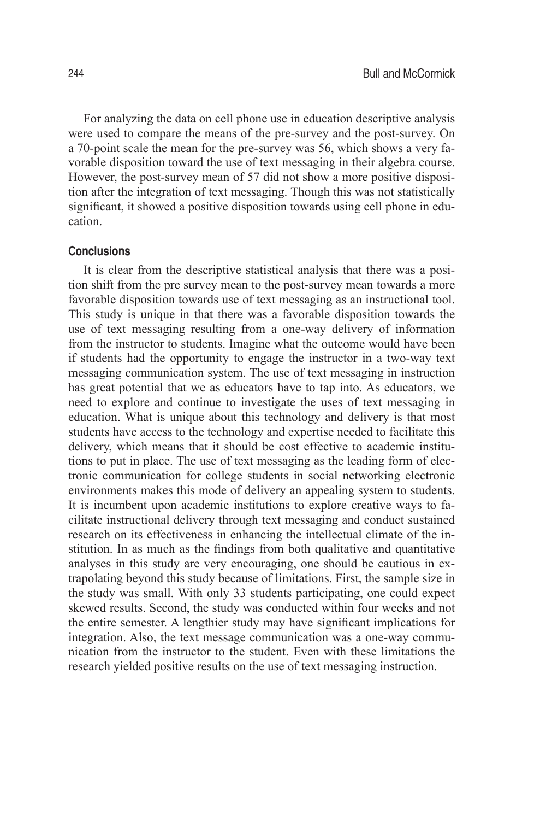For analyzing the data on cell phone use in education descriptive analysis were used to compare the means of the pre-survey and the post-survey. On a 70-point scale the mean for the pre-survey was 56, which shows a very favorable disposition toward the use of text messaging in their algebra course. However, the post-survey mean of 57 did not show a more positive disposition after the integration of text messaging. Though this was not statistically significant, it showed a positive disposition towards using cell phone in education.

## **Conclusions**

It is clear from the descriptive statistical analysis that there was a position shift from the pre survey mean to the post-survey mean towards a more favorable disposition towards use of text messaging as an instructional tool. This study is unique in that there was a favorable disposition towards the use of text messaging resulting from a one-way delivery of information from the instructor to students. Imagine what the outcome would have been if students had the opportunity to engage the instructor in a two-way text messaging communication system. The use of text messaging in instruction has great potential that we as educators have to tap into. As educators, we need to explore and continue to investigate the uses of text messaging in education. What is unique about this technology and delivery is that most students have access to the technology and expertise needed to facilitate this delivery, which means that it should be cost effective to academic institutions to put in place. The use of text messaging as the leading form of electronic communication for college students in social networking electronic environments makes this mode of delivery an appealing system to students. It is incumbent upon academic institutions to explore creative ways to facilitate instructional delivery through text messaging and conduct sustained research on its effectiveness in enhancing the intellectual climate of the institution. In as much as the findings from both qualitative and quantitative analyses in this study are very encouraging, one should be cautious in extrapolating beyond this study because of limitations. First, the sample size in the study was small. With only 33 students participating, one could expect skewed results. Second, the study was conducted within four weeks and not the entire semester. A lengthier study may have significant implications for integration. Also, the text message communication was a one-way communication from the instructor to the student. Even with these limitations the research yielded positive results on the use of text messaging instruction.